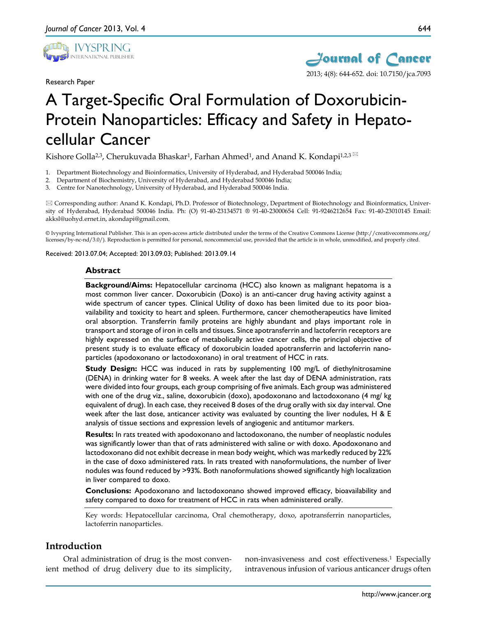

Research Paper



# A Target-Specific Oral Formulation of Doxorubicin-Protein Nanoparticles: Efficacy and Safety in Hepatocellular Cancer

Kishore Golla<sup>2,3</sup>, Cherukuvada Bhaskar<sup>1</sup>, Farhan Ahmed<sup>1</sup>, and Anand K. Kondapi<sup>1,2,3</sup>

- 1. Department Biotechnology and Bioinformatics, University of Hyderabad, and Hyderabad 500046 India;
- 2. Department of Biochemistry, University of Hyderabad, and Hyderabad 500046 India;
- 3. Centre for Nanotechnology, University of Hyderabad, and Hyderabad 500046 India.

 Corresponding author: Anand K. Kondapi, Ph.D. Professor of Biotechnology, Department of Biotechnology and Bioinformatics, University of Hyderabad, Hyderabad 500046 India. Ph: (O) 91-40-23134571 ® 91-40-23000654 Cell: 91-9246212654 Fax: 91-40-23010145 Email: akksl@uohyd.ernet.in, akondapi@gmail.com.

© Ivyspring International Publisher. This is an open-access article distributed under the terms of the Creative Commons License (http://creativecommons.org/ licenses/by-nc-nd/3.0/). Reproduction is permitted for personal, noncommercial use, provided that the article is in whole, unmodified, and properly cited.

Received: 2013.07.04; Accepted: 2013.09.03; Published: 2013.09.14

#### **Abstract**

**Background/Aims:** Hepatocellular carcinoma (HCC) also known as malignant hepatoma is a most common liver cancer. Doxorubicin (Doxo) is an anti-cancer drug having activity against a wide spectrum of cancer types. Clinical Utility of doxo has been limited due to its poor bioavailability and toxicity to heart and spleen. Furthermore, cancer chemotherapeutics have limited oral absorption. Transferrin family proteins are highly abundant and plays important role in transport and storage of iron in cells and tissues. Since apotransferrin and lactoferrin receptors are highly expressed on the surface of metabolically active cancer cells, the principal objective of present study is to evaluate efficacy of doxorubicin loaded apotransferrin and lactoferrin nanoparticles (apodoxonano or lactodoxonano) in oral treatment of HCC in rats.

**Study Design:** HCC was induced in rats by supplementing 100 mg/L of diethylnitrosamine (DENA) in drinking water for 8 weeks. A week after the last day of DENA administration, rats were divided into four groups, each group comprising of five animals. Each group was administered with one of the drug viz., saline, doxorubicin (doxo), apodoxonano and lactodoxonano (4 mg/ kg equivalent of drug). In each case, they received 8 doses of the drug orally with six day interval. One week after the last dose, anticancer activity was evaluated by counting the liver nodules, H & E analysis of tissue sections and expression levels of angiogenic and antitumor markers.

**Results:** In rats treated with apodoxonano and lactodoxonano, the number of neoplastic nodules was significantly lower than that of rats administered with saline or with doxo. Apodoxonano and lactodoxonano did not exhibit decrease in mean body weight, which was markedly reduced by 22% in the case of doxo administered rats. In rats treated with nanoformulations, the number of liver nodules was found reduced by >93%. Both nanoformulations showed significantly high localization in liver compared to doxo.

**Conclusions:** Apodoxonano and lactodoxonano showed improved efficacy, bioavailability and safety compared to doxo for treatment of HCC in rats when administered orally.

Key words: Hepatocellular carcinoma, Oral chemotherapy, doxo, apotransferrin nanoparticles, lactoferrin nanoparticles.

# **Introduction**

Oral administration of drug is the most convenient method of drug delivery due to its simplicity,

non-invasiveness and cost effectiveness.1 Especially intravenous infusion of various anticancer drugs often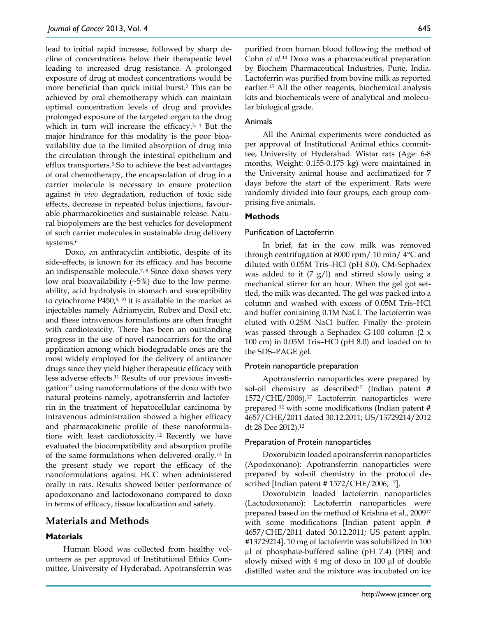lead to initial rapid increase, followed by sharp decline of concentrations below their therapeutic level leading to increased drug resistance. A prolonged exposure of drug at modest concentrations would be more beneficial than quick initial burst.2 This can be achieved by oral chemotherapy which can maintain optimal concentration levels of drug and provides prolonged exposure of the targeted organ to the drug which in turn will increase the efficacy.<sup>3, 4</sup> But the major hindrance for this modality is the poor bioavailability due to the limited absorption of drug into the circulation through the intestinal epithelium and efflux transporters.5 So to achieve the best advantages of oral chemotherapy, the encapsulation of drug in a carrier molecule is necessary to ensure protection against *in vivo* degradation, reduction of toxic side effects, decrease in repeated bolus injections, favourable pharmacokinetics and sustainable release. Natural biopolymers are the best vehicles for development of such carrier molecules in sustainable drug delivery systems.<sup>6</sup>

Doxo, an anthracyclin antibiotic, despite of its side-effects, is known for its efficacy and has become an indispensable molecule.7, 8 Since doxo shows very low oral bioavailability  $(\sim 5\%)$  due to the low permeability, acid hydrolysis in stomach and susceptibility to cytochrome P450,9, 10 it is available in the market as injectables namely Adriamycin, Rubex and Doxil etc. and these intravenous formulations are often fraught with cardiotoxicity. There has been an outstanding progress in the use of novel nanocarriers for the oral application among which biodegradable ones are the most widely employed for the delivery of anticancer drugs since they yield higher therapeutic efficacy with less adverse effects.11 Results of our previous investigation12 using nanoformulations of the doxo with two natural proteins namely, apotransferrin and lactoferrin in the treatment of hepatocellular carcinoma by intravenous administration showed a higher efficacy and pharmacokinetic profile of these nanoformulations with least cardiotoxicity.12 Recently we have evaluated the biocompatibility and absorption profile of the same formulations when delivered orally.13 In the present study we report the efficacy of the nanoformulations against HCC when administered orally in rats. Results showed better performance of apodoxonano and lactodoxonano compared to doxo in terms of efficacy, tissue localization and safety.

# **Materials and Methods**

# **Materials**

Human blood was collected from healthy volunteers as per approval of Institutional Ethics Committee, University of Hyderabad. Apotransferrin was purified from human blood following the method of Cohn *et al.*<sup>14</sup> Doxo was a pharmaceutical preparation by Biochem Pharmaceutical Industries, Pune, India. Lactoferrin was purified from bovine milk as reported earlier.15 All the other reagents, biochemical analysis kits and biochemicals were of analytical and molecular biological grade.

# Animals

All the Animal experiments were conducted as per approval of Institutional Animal ethics committee, University of Hyderabad. Wistar rats (Age: 6-8 months, Weight: 0.155-0.175 kg) were maintained in the University animal house and acclimatized for 7 days before the start of the experiment. Rats were randomly divided into four groups, each group comprising five animals.

# **Methods**

#### Purification of Lactoferrin

In brief, fat in the cow milk was removed through centrifugation at 8000 rpm/ 10 min/ 4°C and diluted with 0.05M Tris–HCl (pH 8.0). CM-Sephadex was added to it  $(7 \text{ g/l})$  and stirred slowly using a mechanical stirrer for an hour. When the gel got settled, the milk was decanted. The gel was packed into a column and washed with excess of 0.05M Tris–HCl and buffer containing 0.1M NaCl. The lactoferrin was eluted with 0.25M NaCl buffer. Finally the protein was passed through a Sephadex G-100 column (2 x 100 cm) in 0.05M Tris–HCl (pH 8.0) and loaded on to the SDS–PAGE gel.

### Protein nanoparticle preparation

Apotransferrin nanoparticles were prepared by sol-oil chemistry as described<sup>17</sup> (Indian patent # 1572/CHE/2006).17 Lactoferrin nanoparticles were prepared 12 with some modifications (Indian patent # 4657/CHE/2011 dated 30.12.2011; US/13729214/2012 dt 28 Dec 2012).12

#### Preparation of Protein nanoparticles

Doxorubicin loaded apotransferrin nanoparticles (Apodoxonano): Apotransferrin nanoparticles were prepared by sol-oil chemistry in the protocol described [Indian patent # 1572/CHE/2006; 17].

Doxorubicin loaded lactoferrin nanoparticles (Lactodoxonano): Lactoferrin nanoparticles were prepared based on the method of Krishna et al., 200917 with some modifications [Indian patent appln # 4657/CHE/2011 dated 30.12.2011; US patent appln. #13729214]. 10 mg of lactoferrin was solubilized in 100 µl of phosphate-buffered saline (pH 7.4) (PBS) and slowly mixed with 4 mg of doxo in 100 µl of double distilled water and the mixture was incubated on ice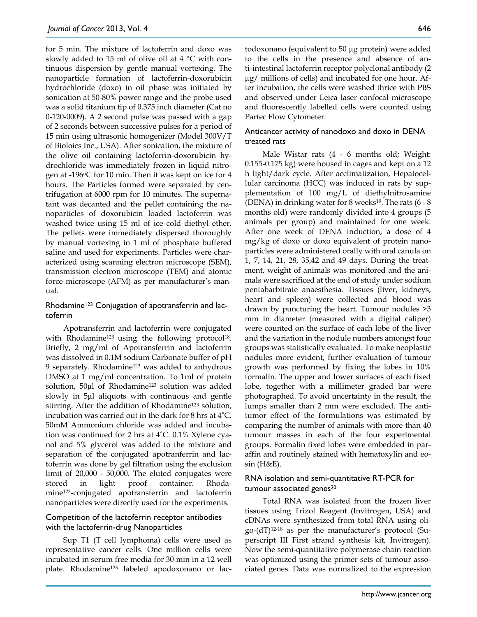for 5 min. The mixture of lactoferrin and doxo was slowly added to 15 ml of olive oil at 4 °C with continuous dispersion by gentle manual vortexing. The nanoparticle formation of lactoferrin-doxorubicin hydrochloride (doxo) in oil phase was initiated by sonication at 50-80% power range and the probe used was a solid titanium tip of 0.375 inch diameter (Cat no 0-120-0009). A 2 second pulse was passed with a gap of 2 seconds between successive pulses for a period of 15 min using ultrasonic homogenizer (Model 300V/T of Bioloics Inc., USA). After sonication, the mixture of the olive oil containing lactoferrin-doxorubicin hydrochloride was immediately frozen in liquid nitrogen at -196 $\degree$ C for 10 min. Then it was kept on ice for 4 hours. The Particles formed were separated by centrifugation at 6000 rpm for 10 minutes. The supernatant was decanted and the pellet containing the nanoparticles of doxorubicin loaded lactoferrin was washed twice using 15 ml of ice cold diethyl ether. The pellets were immediately dispersed thoroughly by manual vortexing in 1 ml of phosphate buffered saline and used for experiments. Particles were characterized using scanning electron microscope (SEM), transmission electron microscope (TEM) and atomic force microscope (AFM) as per manufacturer's manual.

# Rhodamine<sup>123</sup> Conjugation of apotransferrin and lactoferrin

Apotransferrin and lactoferrin were conjugated with Rhodamine<sup>123</sup> using the following protocol<sup>18</sup>. Briefly, 2 mg/ml of Apotransferrin and lactoferrin was dissolved in 0.1M sodium Carbonate buffer of pH 9 separately. Rhodamine123 was added to anhydrous DMSO at 1 mg/ml concentration. To 1ml of protein solution, 50µl of Rhodamine123 solution was added slowly in 5µl aliquots with continuous and gentle stirring. After the addition of Rhodamine123 solution, incubation was carried out in the dark for 8 hrs at 4˚C. 50mM Ammonium chloride was added and incubation was continued for 2 hrs at 4˚C. 0.1% Xylene cyanol and 5% glycerol was added to the mixture and separation of the conjugated apotranferrin and lactoferrin was done by gel filtration using the exclusion limit of 20,000 - 50,000. The eluted conjugates were stored in light proof container. Rhodamine123-conjugated apotransferrin and lactoferrin nanoparticles were directly used for the experiments.

# Competition of the lactoferrin receptor antibodies with the lactoferrin-drug Nanoparticles

Sup T1 (T cell lymphoma) cells were used as representative cancer cells. One million cells were incubated in serum free media for 30 min in a 12 well plate. Rhodamine123 labeled apodoxonano or lactodoxonano (equivalent to 50 µg protein) were added to the cells in the presence and absence of anti-intestinal lactoferrin receptor polyclonal antibody (2 µg/ millions of cells) and incubated for one hour. After incubation, the cells were washed thrice with PBS and observed under Leica laser confocal microscope and fluorescently labelled cells were counted using Partec Flow Cytometer.

# Anticancer activity of nanodoxo and doxo in DENA treated rats

Male Wistar rats (4 - 6 months old; Weight: 0.155-0.175 kg) were housed in cages and kept on a 12 h light/dark cycle. After acclimatization, Hepatocellular carcinoma (HCC) was induced in rats by supplementation of 100 mg/L of diethylnitrosamine (DENA) in drinking water for 8 weeks<sup>19</sup>. The rats  $(6 - 8)$ months old) were randomly divided into 4 groups (5 animals per group) and maintained for one week. After one week of DENA induction, a dose of 4 mg/kg of doxo or doxo equivalent of protein nanoparticles were administered orally with oral canula on 1, 7, 14, 21, 28, 35,42 and 49 days. During the treatment, weight of animals was monitored and the animals were sacrificed at the end of study under sodium pentabarbitrate anaesthesia. Tissues (liver, kidneys, heart and spleen) were collected and blood was drawn by puncturing the heart. Tumour nodules >3 mm in diameter (measured with a digital caliper) were counted on the surface of each lobe of the liver and the variation in the nodule numbers amongst four groups was statistically evaluated. To make neoplastic nodules more evident, further evaluation of tumour growth was performed by fixing the lobes in 10% formalin. The upper and lower surfaces of each fixed lobe, together with a millimeter graded bar were photographed. To avoid uncertainty in the result, the lumps smaller than 2 mm were excluded. The antitumor effect of the formulations was estimated by comparing the number of animals with more than 40 tumour masses in each of the four experimental groups. Formalin fixed lobes were embedded in paraffin and routinely stained with hematoxylin and eo $sin(H&E)$ .

# RNA isolation and semi-quantitative RT-PCR for tumour associated genes<sup>20</sup>

Total RNA was isolated from the frozen liver tissues using Trizol Reagent (Invitrogen, USA) and cDNAs were synthesized from total RNA using oligo-(dT)12-18 as per the manufacturer's protocol (Superscript III First strand synthesis kit, Invitrogen). Now the semi-quantitative polymerase chain reaction was optimized using the primer sets of tumour associated genes. Data was normalized to the expression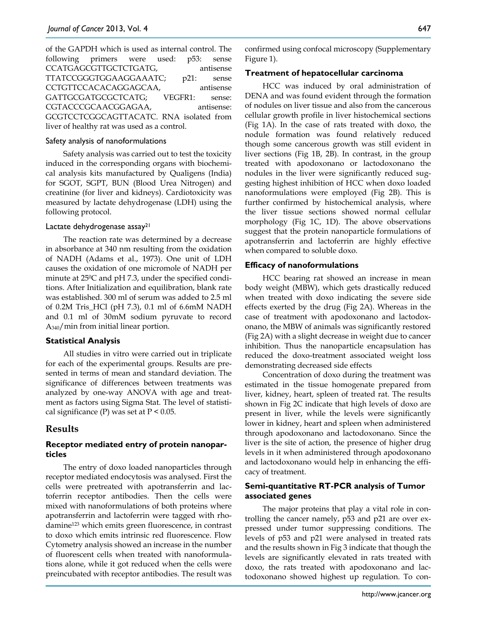of the GAPDH which is used as internal control. The following primers were used: p53: sense CCATGAGCGTTGCTCTGATG, antisense TTATCCGGGTGGAAGGAAATC; p21: sense CCTGTTCCACACAGGAGCAA, antisense GATTGCGATGCGCTCATG; VEGFR1: sense: CGTACCCGCAACGGAGAA, antisense: GCGTCCTCGGCAGTTACATC. RNA isolated from liver of healthy rat was used as a control.

#### Safety analysis of nanoformulations

Safety analysis was carried out to test the toxicity induced in the corresponding organs with biochemical analysis kits manufactured by Qualigens (India) for SGOT, SGPT, BUN (Blood Urea Nitrogen) and creatinine (for liver and kidneys). Cardiotoxicity was measured by lactate dehydrogenase (LDH) using the following protocol.

#### Lactate dehydrogenase assay<sup>21</sup>

The reaction rate was determined by a decrease in absorbance at 340 nm resulting from the oxidation of NADH (Adams et al., 1973). One unit of LDH causes the oxidation of one micromole of NADH per minute at 250C and pH 7.3, under the specified conditions. After Initialization and equilibration, blank rate was established. 300 ml of serum was added to 2.5 ml of 0.2M Tris\_HCl (pH 7.3), 0.1 ml of 6.6mM NADH and 0.1 ml of 30mM sodium pyruvate to record A340/min from initial linear portion.

#### **Statistical Analysis**

All studies in vitro were carried out in triplicate for each of the experimental groups. Results are presented in terms of mean and standard deviation. The significance of differences between treatments was analyzed by one-way ANOVA with age and treatment as factors using Sigma Stat. The level of statistical significance (P) was set at  $P < 0.05$ .

# **Results**

# **Receptor mediated entry of protein nanoparticles**

The entry of doxo loaded nanoparticles through receptor mediated endocytosis was analysed. First the cells were pretreated with apotransferrin and lactoferrin receptor antibodies. Then the cells were mixed with nanoformulations of both proteins where apotransferrin and lactoferrin were tagged with rhodamine123 which emits green fluorescence, in contrast to doxo which emits intrinsic red fluorescence. Flow Cytometry analysis showed an increase in the number of fluorescent cells when treated with nanoformulations alone, while it got reduced when the cells were preincubated with receptor antibodies. The result was

confirmed using confocal microscopy (Supplementary Figure 1).

#### **Treatment of hepatocellular carcinoma**

HCC was induced by oral administration of DENA and was found evident through the formation of nodules on liver tissue and also from the cancerous cellular growth profile in liver histochemical sections (Fig 1A). In the case of rats treated with doxo, the nodule formation was found relatively reduced though some cancerous growth was still evident in liver sections (Fig 1B, 2B). In contrast, in the group treated with apodoxonano or lactodoxonano the nodules in the liver were significantly reduced suggesting highest inhibition of HCC when doxo loaded nanoformulations were employed (Fig 2B). This is further confirmed by histochemical analysis, where the liver tissue sections showed normal cellular morphology (Fig 1C, 1D). The above observations suggest that the protein nanoparticle formulations of apotransferrin and lactoferrin are highly effective when compared to soluble doxo.

# **Efficacy of nanoformulations**

HCC bearing rat showed an increase in mean body weight (MBW), which gets drastically reduced when treated with doxo indicating the severe side effects exerted by the drug (Fig 2A). Whereas in the case of treatment with apodoxonano and lactodoxonano, the MBW of animals was significantly restored (Fig 2A) with a slight decrease in weight due to cancer inhibition. Thus the nanoparticle encapsulation has reduced the doxo-treatment associated weight loss demonstrating decreased side effects

Concentration of doxo during the treatment was estimated in the tissue homogenate prepared from liver, kidney, heart, spleen of treated rat. The results shown in Fig 2C indicate that high levels of doxo are present in liver, while the levels were significantly lower in kidney, heart and spleen when administered through apodoxonano and lactodoxonano. Since the liver is the site of action, the presence of higher drug levels in it when administered through apodoxonano and lactodoxonano would help in enhancing the efficacy of treatment.

# **Semi-quantitative RT-PCR analysis of Tumor associated genes**

The major proteins that play a vital role in controlling the cancer namely, p53 and p21 are over expressed under tumor suppressing conditions. The levels of p53 and p21 were analysed in treated rats and the results shown in Fig 3 indicate that though the levels are significantly elevated in rats treated with doxo, the rats treated with apodoxonano and lactodoxonano showed highest up regulation. To con-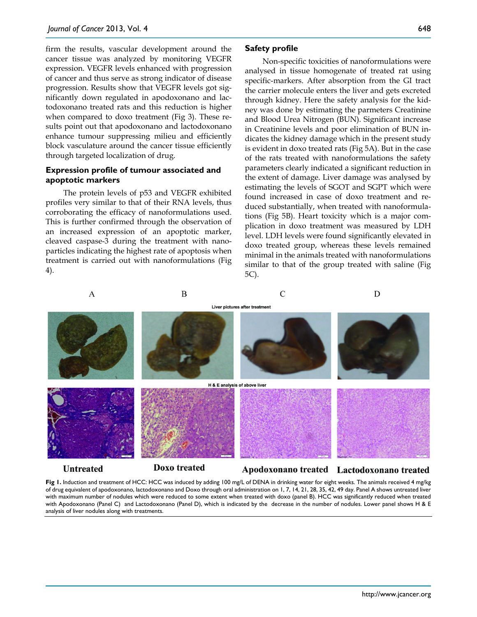firm the results, vascular development around the cancer tissue was analyzed by monitoring VEGFR expression. VEGFR levels enhanced with progression of cancer and thus serve as strong indicator of disease progression. Results show that VEGFR levels got significantly down regulated in apodoxonano and lactodoxonano treated rats and this reduction is higher when compared to doxo treatment (Fig 3). These results point out that apodoxonano and lactodoxonano enhance tumour suppressing milieu and efficiently block vasculature around the cancer tissue efficiently through targeted localization of drug.

#### **Expression profile of tumour associated and apoptotic markers**

The protein levels of p53 and VEGFR exhibited profiles very similar to that of their RNA levels, thus corroborating the efficacy of nanoformulations used. This is further confirmed through the observation of an increased expression of an apoptotic marker, cleaved caspase-3 during the treatment with nanoparticles indicating the highest rate of apoptosis when treatment is carried out with nanoformulations (Fig 4).

#### **Safety profile**

Non-specific toxicities of nanoformulations were analysed in tissue homogenate of treated rat using specific-markers. After absorption from the GI tract the carrier molecule enters the liver and gets excreted through kidney. Here the safety analysis for the kidney was done by estimating the parmeters Creatinine and Blood Urea Nitrogen (BUN). Significant increase in Creatinine levels and poor elimination of BUN indicates the kidney damage which in the present study is evident in doxo treated rats (Fig 5A). But in the case of the rats treated with nanoformulations the safety parameters clearly indicated a significant reduction in the extent of damage. Liver damage was analysed by estimating the levels of SGOT and SGPT which were found increased in case of doxo treatment and reduced substantially, when treated with nanoformulations (Fig 5B). Heart toxicity which is a major complication in doxo treatment was measured by LDH level. LDH levels were found significantly elevated in doxo treated group, whereas these levels remained minimal in the animals treated with nanoformulations similar to that of the group treated with saline (Fig 5C).



**Fig 1.** Induction and treatment of HCC: HCC was induced by adding 100 mg/L of DENA in drinking water for eight weeks. The animals received 4 mg/kg of drug equivalent of apodoxonano, lactodoxonano and Doxo through oral administration on 1, 7, 14, 21, 28, 35, 42, 49 day. Panel A shows untreated liver with maximum number of nodules which were reduced to some extent when treated with doxo (panel B). HCC was significantly reduced when treated with Apodoxonano (Panel C) and Lactodoxonano (Panel D), which is indicated by the decrease in the number of nodules. Lower panel shows H & E analysis of liver nodules along with treatments.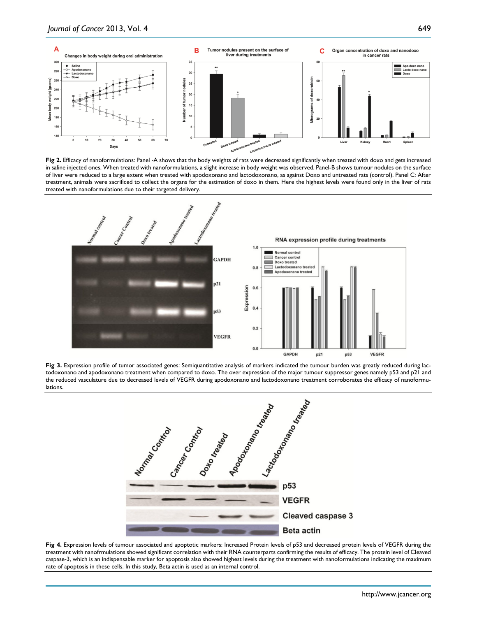

Fig 2. Efficacy of nanoformulations: Panel -A shows that the body weights of rats were decreased significantly when treated with doxo and gets increased in saline injected ones. When treated with nanoformulations, a slight increase in body weight was observed. Panel-B shows tumour nodules on the surface of liver were reduced to a large extent when treated with apodoxonano and lactodoxonano, as against Doxo and untreated rats (control). Panel C: After treatment, animals were sacrificed to collect the organs for the estimation of doxo in them. Here the highest levels were found only in the liver of rats treated with nanoformulations due to their targeted delivery.



Fig 3. Expression profile of tumor associated genes: Semiquantitative analysis of markers indicated the tumour burden was greatly reduced during lactodoxonano and apodoxonano treatment when compared to doxo. The over expression of the major tumour suppressor genes namely p53 and p21 and the reduced vasculature due to decreased levels of VEGFR during apodoxonano and lactodoxonano treatment corroborates the efficacy of nanoformulations.



Fig 4. Expression levels of tumour associated and apoptotic markers: Increased Protein levels of p53 and decreased protein levels of VEGFR during the treatment with nanofrmulations showed significant correlation with their RNA counterparts confirming the results of efficacy. The protein level of Cleaved caspase-3, which is an indispensable marker for apoptosis also showed highest levels during the treatment with nanoformulations indicating the maximum rate of apoptosis in these cells. In this study, Beta actin is used as an internal control.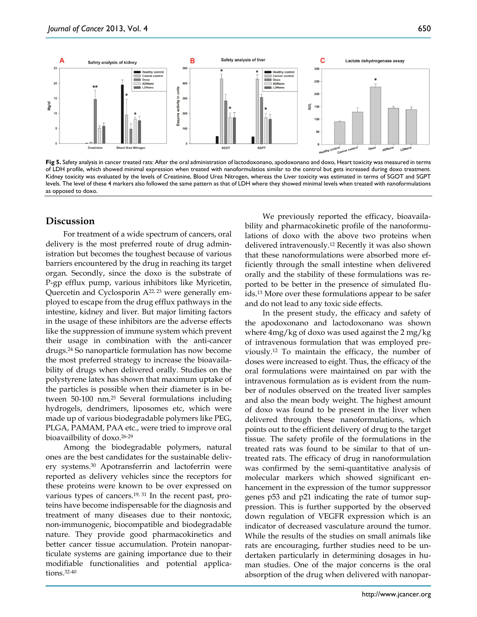

**Fig 5.** Safety analysis in cancer treated rats: After the oral administration of lactodoxonano, apodoxonano and doxo, Heart toxicity was measured in terms of LDH profile, which showed minimal expression when treated with nanoformulatios similar to the control but gets increased during doxo treatment. Kidney toxicity was evaluated by the levels of Creatinine, Blood Urea Nitrogen, whereas the Liver toxicity was estimated in terms of SGOT and SGPT levels. The level of these 4 markers also followed the same pattern as that of LDH where they showed minimal levels when treated with nanoformulations as opposed to doxo.

# **Discussion**

For treatment of a wide spectrum of cancers, oral delivery is the most preferred route of drug administration but becomes the toughest because of various barriers encountered by the drug in reaching its target organ. Secondly, since the doxo is the substrate of P-gp efflux pump, various inhibitors like Myricetin, Quercetin and Cyclosporin A22, 23 were generally employed to escape from the drug efflux pathways in the intestine, kidney and liver. But major limiting factors in the usage of these inhibitors are the adverse effects like the suppression of immune system which prevent their usage in combination with the anti-cancer drugs.24 So nanoparticle formulation has now become the most preferred strategy to increase the bioavailability of drugs when delivered orally. Studies on the polystyrene latex has shown that maximum uptake of the particles is possible when their diameter is in between 50-100 nm.25 Several formulations including hydrogels, dendrimers, liposomes etc, which were made up of various biodegradable polymers like PEG, PLGA, PAMAM, PAA etc., were tried to improve oral bioavailbility of doxo. 26-29

Among the biodegradable polymers, natural ones are the best candidates for the sustainable delivery systems.30 Apotransferrin and lactoferrin were reported as delivery vehicles since the receptors for these proteins were known to be over expressed on various types of cancers.19, 31 In the recent past, proteins have become indispensable for the diagnosis and treatment of many diseases due to their nontoxic, non-immunogenic, biocompatible and biodegradable nature. They provide good pharmacokinetics and better cancer tissue accumulation. Protein nanoparticulate systems are gaining importance due to their modifiable functionalities and potential applications.32-40

We previously reported the efficacy, bioavailability and pharmacokinetic profile of the nanoformulations of doxo with the above two proteins when delivered intravenously.12 Recently it was also shown that these nanoformulations were absorbed more efficiently through the small intestine when delivered orally and the stability of these formulations was reported to be better in the presence of simulated fluids.13 More over these formulations appear to be safer and do not lead to any toxic side effects.

In the present study, the efficacy and safety of the apodoxonano and lactodoxonano was shown where 4mg/kg of doxo was used against the 2 mg/kg of intravenous formulation that was employed previously.12 To maintain the efficacy, the number of doses were increased to eight. Thus, the efficacy of the oral formulations were maintained on par with the intravenous formulation as is evident from the number of nodules observed on the treated liver samples and also the mean body weight. The highest amount of doxo was found to be present in the liver when delivered through these nanoformulations, which points out to the efficient delivery of drug to the target tissue. The safety profile of the formulations in the treated rats was found to be similar to that of untreated rats. The efficacy of drug in nanoformulation was confirmed by the semi-quantitative analysis of molecular markers which showed significant enhancement in the expression of the tumor suppressor genes p53 and p21 indicating the rate of tumor suppression. This is further supported by the observed down regulation of VEGFR expression which is an indicator of decreased vasculature around the tumor. While the results of the studies on small animals like rats are encouraging, further studies need to be undertaken particularly in determining dosages in human studies. One of the major concerns is the oral absorption of the drug when delivered with nanopar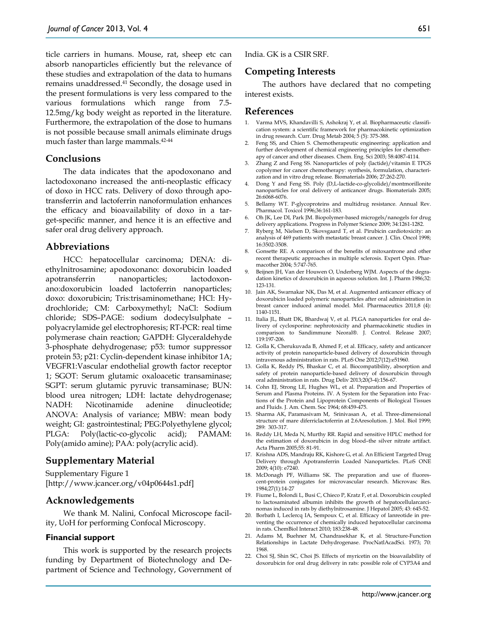ticle carriers in humans. Mouse, rat, sheep etc can absorb nanoparticles efficiently but the relevance of these studies and extrapolation of the data to humans remains unaddressed.41 Secondly, the dosage used in the present formulations is very less compared to the various formulations which range from 7.5- 12.5mg/kg body weight as reported in the literature. Furthermore, the extrapolation of the dose to humans is not possible because small animals eliminate drugs much faster than large mammals.42-44

# **Conclusions**

The data indicates that the apodoxonano and lactodoxonano increased the anti-neoplastic efficacy of doxo in HCC rats. Delivery of doxo through apotransferrin and lactoferrin nanoformulation enhances the efficacy and bioavailability of doxo in a target-specific manner, and hence it is an effective and safer oral drug delivery approach.

#### **Abbreviations**

HCC: hepatocellular carcinoma; DENA: diethylnitrosamine; apodoxonano: doxorubicin loaded apotransferrin nanoparticles; lactodoxonano:doxorubicin loaded lactoferrin nanoparticles; doxo: doxorubicin; Tris:trisaminomethane; HCl: Hydrochloride; CM: Carboxymethyl; NaCl: Sodium chloride; SDS–PAGE: sodium dodecylsulphate – polyacrylamide gel electrophoresis; RT-PCR: real time polymerase chain reaction; GAPDH: Glyceraldehyde 3-phosphate dehydrogenase; p53: tumor suppressor protein 53; p21: Cyclin-dependent kinase inhibitor 1A; VEGFR1:Vascular endothelial growth factor receptor 1; SGOT: Serum glutamic oxaloacetic transaminase; SGPT: serum glutamic pyruvic transaminase; BUN: blood urea nitrogen; LDH: lactate dehydrogenase; NADH: Nicotinamide adenine dinucleotide; ANOVA: Analysis of variance; MBW: mean body weight; GI: gastrointestinal; PEG:Polyethylene glycol; PLGA: Poly(lactic-co-glycolic acid); PAMAM: Poly(amido amine); PAA: poly(acrylic acid).

#### **Supplementary Material**

Supplementary Figure 1 [http://www.jcancer.org/v04p0644s1.pdf]

#### **Acknowledgements**

We thank M. Nalini, Confocal Microscope facility, UoH for performing Confocal Microscopy.

#### **Financial support**

This work is supported by the research projects funding by Department of Biotechnology and Department of Science and Technology, Government of India. GK is a CSIR SRF.

**Competing Interests**

The authors have declared that no competing interest exists.

#### **References**

- 1. Varma MVS, Khandavilli S, Ashokraj Y, et al. Biopharmaceutic classification system: a scientific framework for pharmacokinetic optimization in drug research. Curr. Drug Metab 2004; 5 (5): 375-388.
- Feng SS, and Chien S. Chemotherapeutic engineering: application and further development of chemical engineering principles for chemotherapy of cancer and other diseases. Chem. Eng. Sci 2003; 58:4087-4114.
- 3. Zhang Z and Feng SS. Nanoparticles of poly (lactide)/vitamin E TPGS copolymer for cancer chemotherapy: synthesis, formulation, characterization and in vitro drug release. Biomaterials 2006; 27:262-270.
- 4. Dong Y and Feng SS. Poly (D,L-lactide-co-glycolide)/montmorillonite nanoparticles for oral delivery of anticancer drugs. Biomaterials 2005; 26:6068-6076.
- 5. Bellamy WT. P-glycoproteins and multidrug resistance. Annual Rev. Pharmacol. Toxicol 1996;36:161-183.
- 6. Oh JK, Lee DI, Park JM. Biopolymer-based microgels/nanogels for drug delivery applications. Progress in Polymer Science 2009; 34:1261-1282.
- 7. Ryberg M, Nielsen D, Skovsgaard T, et al. Pirubicin cardiotoxicity: an analysis of 469 patients with metastatic breast cancer. J. Clin. Oncol 1998; 16:3502-3508.
- 8. Gonsette RE. A comparison of the benefits of mitoxantrone and other recent therapeutic approaches in multiple sclerosis. Expert Opin. Pharmacother 2004; 5:747-765.
- 9. Beijnen JH, Van der Houwen O, Underberg WJM. Aspects of the degradation kinetics of doxorubicin in aqueous solution. Int. J. Pharm 1986;32: 123-131.
- 10. Jain AK, Swarnakar NK, Das M, et al. Augmented anticancer efficacy of doxorubicin loaded polymeric nanoparticles after oral administration in breast cancer induced animal model. Mol. Pharmaceutics 2011;8 (4): 1140-1151.
- 11. Italia JL, Bhatt DK, Bhardwaj V, et al. PLGA nanoparticles for oral delivery of cyclosporine: nephrotoxicity and pharmacokinetic studies in comparison to Sandimmune Neoral®. J. Control. Release 2007; 119:197-206.
- 12. Golla K, Cherukuvada B, Ahmed F, et al. Efficacy, safety and anticancer activity of protein nanoparticle-based delivery of doxorubicin through intravenous administration in rats. PLoS One 2012;7(12):e51960.
- 13. Golla K, Reddy PS, Bhaskar C, et al. Biocompatibility, absorption and safety of protein nanoparticle-based delivery of doxorubicin through oral administration in rats. Drug Deliv 2013;20(3-4):156-67.
- 14. Cohn EJ, Strong LE, Hughes WL, et al. Preparation and Properties of Serum and Plasma Proteins. IV. A System for the Separation into Fractions of the Protein and Lipoprotein Components of Biological Tissues and Fluids. J. Am. Chem. Soc 1964; 68:459-475.
- 15. Sharma AK, Paramasivam M, Srinivasan A, et al. Three-dimensional structure of mare diferriclactoferrin at 2.6Aresolution. J. Mol. Biol 1999; 289: 303-317.
- 16. Reddy LH, Meda N, Murthy RR. Rapid and sensitive HPLC method for the estimation of doxorubicin in dog blood–the silver nitrate artifact. Acta Pharm 2005;55: 81-91.
- 17. Krishna ADS, Mandraju RK, Kishore G, et al. An Efficient Targeted Drug Delivery through Apotransferrin Loaded Nanoparticles. PLoS ONE 2009; 4(10): e7240.
- 18. McDonagh PF, Williams SK. The preparation and use of fluorescent-protein conjugates for microvascular research. Microvasc Res. 1984;27(1):14-27
- 19. Fiume L, Bolondi L, Busi C, Chieco P, Kratz F, et al. Doxorubicin coupled to lactosaminated albumin inhibits the growth of hepatocellularcarcinomas induced in rats by diethylnitrosamine. J Hepatol 2005; 43: 645-52.
- 20. Borbath I, Leclercq IA, Sempoux C, et al. Efficacy of lanreotide in preventing the occurrence of chemically induced hepatocellular carcinoma in rats. ChemBiol Interact 2010; 183:238-48.
- 21. Adams M, Buehner M, Chandrasekhar K, et al. Structure-Function Relationships in Lactate Dehydrogenase. ProcNatlAcadSci. 1973; 70: 1968.
- 22. Choi SJ, Shin SC, Choi JS. Effects of myricetin on the bioavailability of doxorubicin for oral drug delivery in rats: possible role of CYP3A4 and